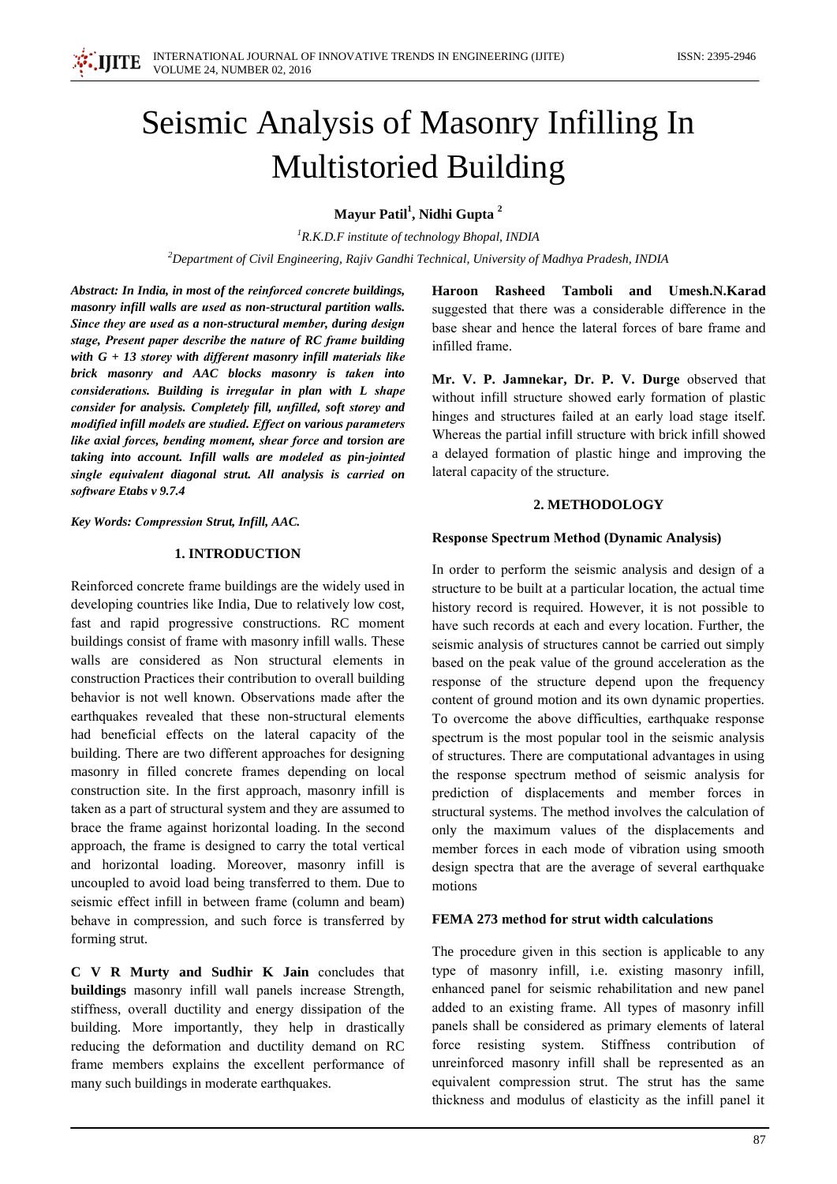# Seismic Analysis of Masonry Infilling In **Multistoried Building**

Mayur Patil<sup>1</sup>, Nidhi Gupta<sup>2</sup>

 ${}^{1}R.K.D.F$  institute of technology Bhopal, INDIA  ${}^{2}$ Department of Civil Engineering, Rajiv Gandhi Technical, University of Madhya Pradesh, INDIA

Abstract: In India, in most of the reinforced concrete buildings, masonry infill walls are used as non-structural partition walls. Since they are used as a non-structural member, during design stage, Present paper describe the nature of RC frame building with  $G + 13$  storey with different masonry infill materials like brick masonry and AAC blocks masonry is taken into considerations. Building is irregular in plan with L shape consider for analysis. Completely fill, unfilled, soft storey and modified infill models are studied. Effect on various parameters like axial forces, bending moment, shear force and torsion are taking into account. Infill walls are modeled as pin-jointed single equivalent diagonal strut. All analysis is carried on software Etabs v 9.7.4

Key Words: Compression Strut, Infill, AAC.

# **1. INTRODUCTION**

Reinforced concrete frame buildings are the widely used in developing countries like India, Due to relatively low cost, fast and rapid progressive constructions. RC moment buildings consist of frame with masonry infill walls. These walls are considered as Non structural elements in construction Practices their contribution to overall building behavior is not well known. Observations made after the earthquakes revealed that these non-structural elements had beneficial effects on the lateral capacity of the building. There are two different approaches for designing masonry in filled concrete frames depending on local construction site. In the first approach, masonry infill is taken as a part of structural system and they are assumed to brace the frame against horizontal loading. In the second approach, the frame is designed to carry the total vertical and horizontal loading. Moreover, masonry infill is uncoupled to avoid load being transferred to them. Due to seismic effect infill in between frame (column and beam) behave in compression, and such force is transferred by forming strut.

C V R Murty and Sudhir K Jain concludes that buildings masonry infill wall panels increase Strength, stiffness, overall ductility and energy dissipation of the building. More importantly, they help in drastically reducing the deformation and ductility demand on RC frame members explains the excellent performance of many such buildings in moderate earthquakes.

Rasheed Tamboli and Umesh.N.Karad Haroon suggested that there was a considerable difference in the base shear and hence the lateral forces of bare frame and infilled frame.

Mr. V. P. Jamnekar, Dr. P. V. Durge observed that without infill structure showed early formation of plastic hinges and structures failed at an early load stage itself. Whereas the partial infill structure with brick infill showed a delayed formation of plastic hinge and improving the lateral capacity of the structure.

#### 2. METHODOLOGY

#### **Response Spectrum Method (Dynamic Analysis)**

In order to perform the seismic analysis and design of a structure to be built at a particular location, the actual time history record is required. However, it is not possible to have such records at each and every location. Further, the seismic analysis of structures cannot be carried out simply based on the peak value of the ground acceleration as the response of the structure depend upon the frequency content of ground motion and its own dynamic properties. To overcome the above difficulties, earthquake response spectrum is the most popular tool in the seismic analysis of structures. There are computational advantages in using the response spectrum method of seismic analysis for prediction of displacements and member forces in structural systems. The method involves the calculation of only the maximum values of the displacements and member forces in each mode of vibration using smooth design spectra that are the average of several earthquake motions

#### FEMA 273 method for strut width calculations

The procedure given in this section is applicable to any type of masonry infill, i.e. existing masonry infill, enhanced panel for seismic rehabilitation and new panel added to an existing frame. All types of masonry infill panels shall be considered as primary elements of lateral force resisting system. Stiffness contribution of unreinforced masonry infill shall be represented as an equivalent compression strut. The strut has the same thickness and modulus of elasticity as the infill panel it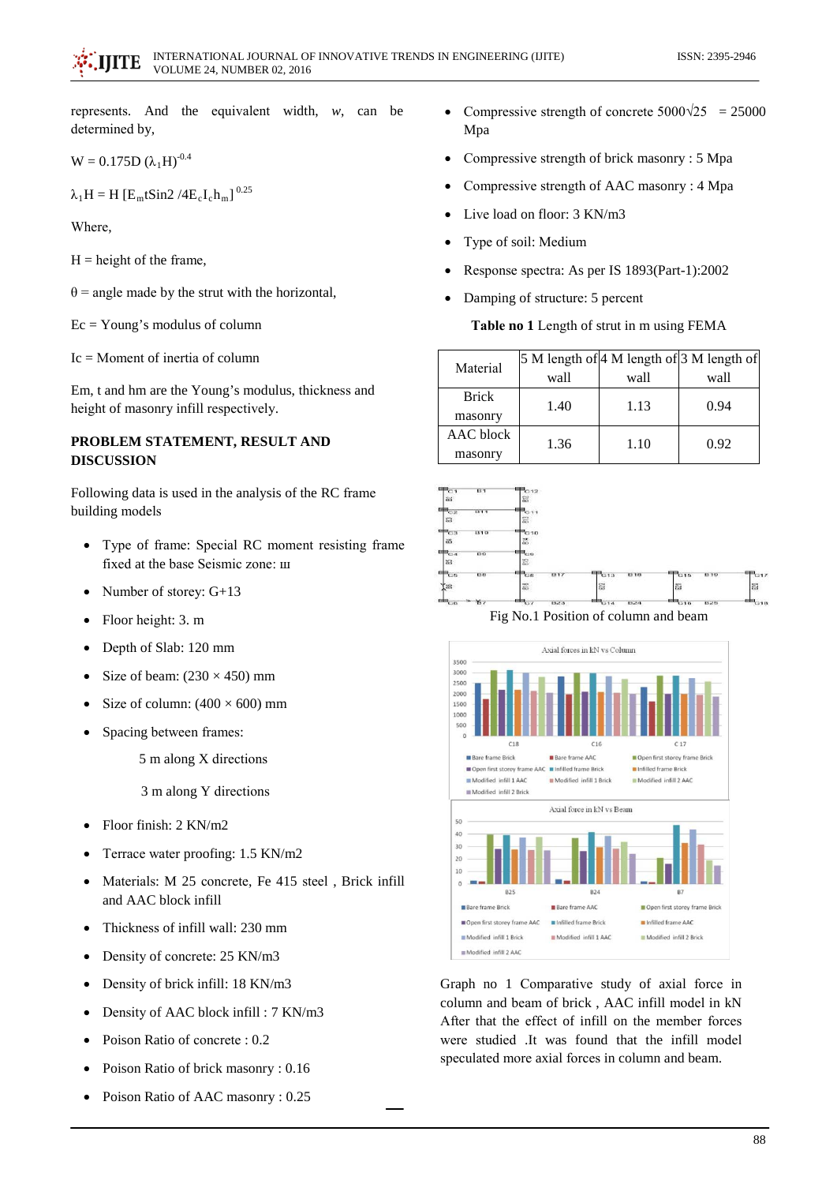represents. And the equivalent width,  $w$ , can be determined by,

$$
W = 0.175D (\lambda_1 H)^{-0.4}
$$

 $\lambda_1$ H = H [E<sub>m</sub>tSin2 /4E<sub>c</sub>I<sub>c</sub>h<sub>m</sub>]<sup>0.25</sup>

Where.

 $H =$  height of the frame.

 $\theta$  = angle made by the strut with the horizontal,

 $Ec = Young's$  modulus of column

 $Ic = Moment$  of inertia of column

Em, t and hm are the Young's modulus, thickness and height of masonry infill respectively.

# PROBLEM STATEMENT, RESULT AND **DISCUSSION**

Following data is used in the analysis of the RC frame building models

- Type of frame: Special RC moment resisting frame fixed at the base Seismic zone: III
- Number of storey: G+13  $\bullet$
- Floor height: 3. m
- Depth of Slab: 120 mm  $\bullet$
- Size of beam:  $(230 \times 450)$  mm  $\bullet$
- Size of column:  $(400 \times 600)$  mm  $\epsilon$
- Spacing between frames:  $\bullet$

5 m along X directions

3 m along Y directions

- Floor finish:  $2$  KN/m $2$
- Terrace water proofing: 1.5 KN/m2
- Materials: M 25 concrete, Fe 415 steel, Brick infill  $\bullet$ and AAC block infill
- Thickness of infill wall: 230 mm  $\epsilon$
- Density of concrete: 25 KN/m3  $\bullet$
- Density of brick infill: 18 KN/m3  $\bullet$
- Density of AAC block infill : 7 KN/m3  $\bullet$
- Poison Ratio of concrete: 0.2  $\bullet$
- Poison Ratio of brick masonry: 0.16
- $\bullet$ Poison Ratio of AAC masonry: 0.25
- Compressive strength of concrete  $5000\sqrt{25}$  = 25000 Mpa
- Compressive strength of brick masonry: 5 Mpa
- Compressive strength of AAC masonry: 4 Mpa
- Live load on floor: 3 KN/m3
- Type of soil: Medium
- Response spectra: As per IS 1893(Part-1):2002
- Damping of structure: 5 percent

# Table no 1 Length of strut in m using FEMA

| Material     |      |      | 5 M length of 4 M length of 3 M length of |
|--------------|------|------|-------------------------------------------|
|              | wall | wall | wall                                      |
| <b>Brick</b> | 1.40 | 1.13 | 0.94                                      |
| masonry      |      |      |                                           |
| AAC block    | 1.36 | 1.10 | 0.92                                      |
| masonry      |      |      |                                           |



Fig No.1 Position of column and beam



Graph no 1 Comparative study of axial force in column and beam of brick, AAC infill model in kN After that the effect of infill on the member forces were studied It was found that the infill model speculated more axial forces in column and beam.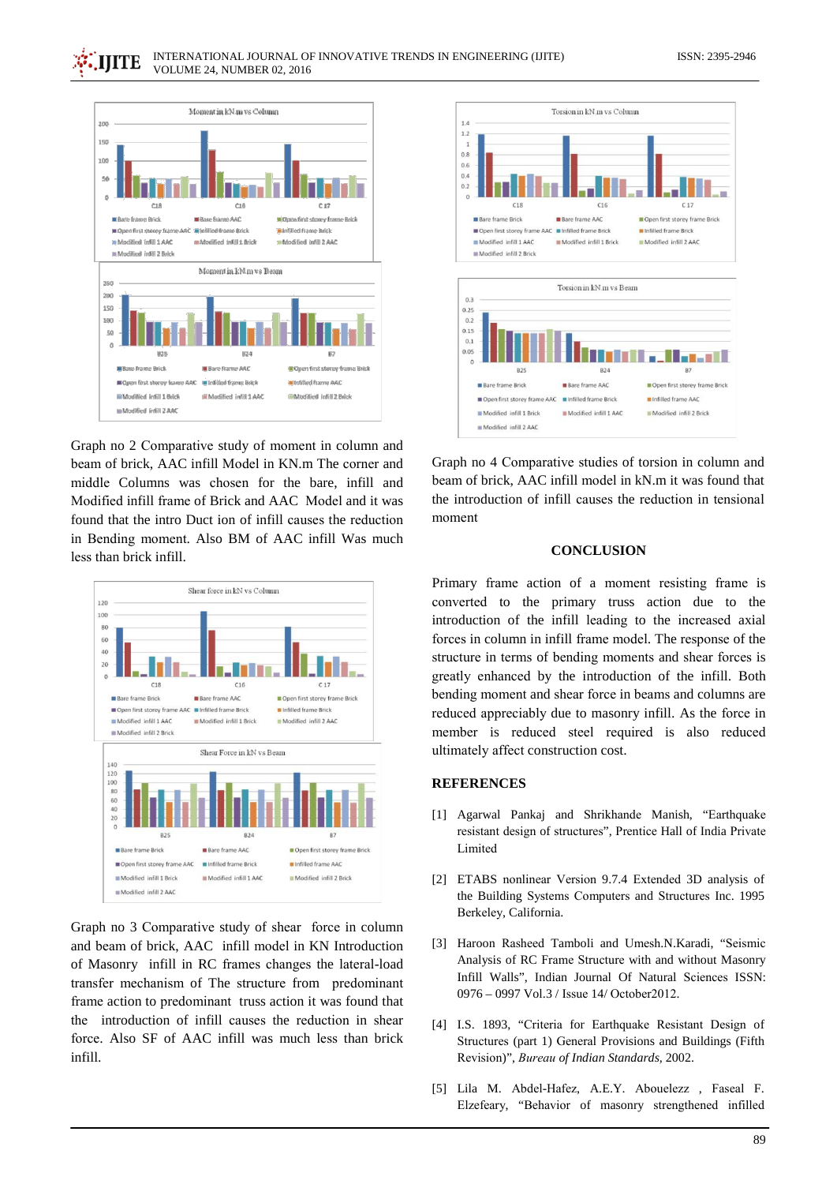

Graph no 2 Comparative study of moment in column and beam of brick, AAC infill Model in KN.m The corner and middle Columns was chosen for the bare, infill and Modified infill frame of Brick and AAC Model and it was found that the intro Duct ion of infill causes the reduction in Bending moment. Also BM of AAC infill Was much less than brick infill.



Graph no 3 Comparative study of shear force in column and beam of brick, AAC infill model in KN Introduction of Masonry infill in RC frames changes the lateral-load transfer mechanism of The structure from predominant frame action to predominant truss action it was found that the introduction of infill causes the reduction in shear force. Also SF of AAC infill was much less than brick infill.



Graph no 4 Comparative studies of torsion in column and beam of brick, AAC infill model in kN.m it was found that the introduction of infill causes the reduction in tensional moment

# **CONCLUSION**

Primary frame action of a moment resisting frame is converted to the primary truss action due to the introduction of the infill leading to the increased axial forces in column in infill frame model. The response of the structure in terms of bending moments and shear forces is greatly enhanced by the introduction of the infill. Both bending moment and shear force in beams and columns are reduced appreciably due to masonry infill. As the force in member is reduced steel required is also reduced ultimately affect construction cost.

# **REFERENCES**

- [1] Agarwal Pankaj and Shrikhande Manish, "Earthquake resistant design of structures", Prentice Hall of India Private Limited
- [2] ETABS nonlinear Version 9.7.4 Extended 3D analysis of the Building Systems Computers and Structures Inc. 1995 Berkeley, California.
- [3] Haroon Rasheed Tamboli and Umesh.N.Karadi, "Seismic Analysis of RC Frame Structure with and without Masonry Infill Walls", Indian Journal Of Natural Sciences ISSN: 0976 - 0997 Vol.3 / Issue 14/ October2012.
- [4] I.S. 1893, "Criteria for Earthquake Resistant Design of Structures (part 1) General Provisions and Buildings (Fifth Revision)". Bureau of Indian Standards, 2002.
- [5] Lila M. Abdel-Hafez, A.E.Y. Abouelezz, Faseal F. Elzefeary, "Behavior of masonry strengthened infilled